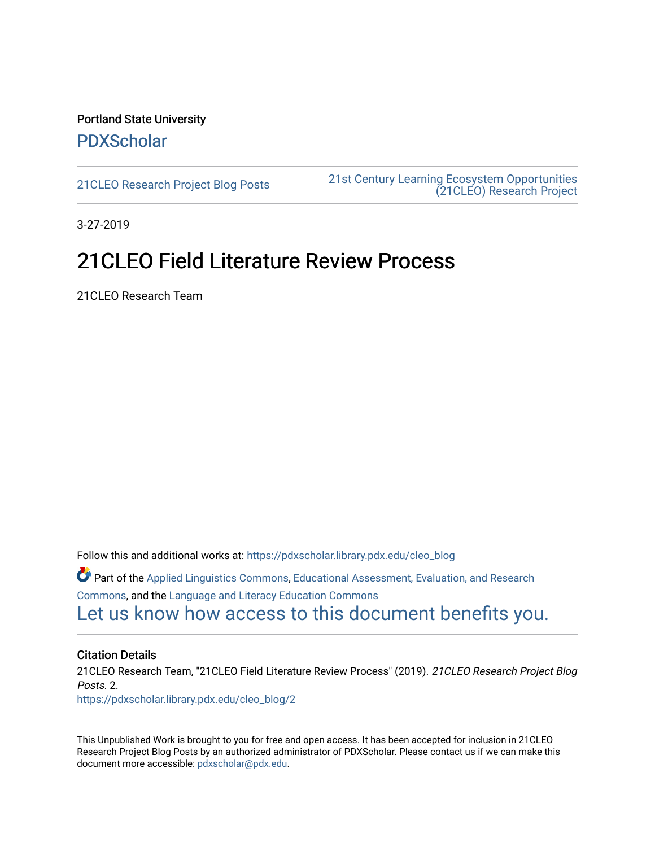### Portland State University [PDXScholar](https://pdxscholar.library.pdx.edu/)

[21CLEO Research Project Blog Posts](https://pdxscholar.library.pdx.edu/cleo_blog) [21st Century Learning Ecosystem Opportunities](https://pdxscholar.library.pdx.edu/cleo)  [\(21CLEO\) Research Project](https://pdxscholar.library.pdx.edu/cleo) 

3-27-2019

## 21CLEO Field Literature Review Process

21CLEO Research Team

Follow this and additional works at: [https://pdxscholar.library.pdx.edu/cleo\\_blog](https://pdxscholar.library.pdx.edu/cleo_blog?utm_source=pdxscholar.library.pdx.edu%2Fcleo_blog%2F2&utm_medium=PDF&utm_campaign=PDFCoverPages)  Part of the [Applied Linguistics Commons,](http://network.bepress.com/hgg/discipline/373?utm_source=pdxscholar.library.pdx.edu%2Fcleo_blog%2F2&utm_medium=PDF&utm_campaign=PDFCoverPages) [Educational Assessment, Evaluation, and Research](http://network.bepress.com/hgg/discipline/796?utm_source=pdxscholar.library.pdx.edu%2Fcleo_blog%2F2&utm_medium=PDF&utm_campaign=PDFCoverPages)  [Commons](http://network.bepress.com/hgg/discipline/796?utm_source=pdxscholar.library.pdx.edu%2Fcleo_blog%2F2&utm_medium=PDF&utm_campaign=PDFCoverPages), and the [Language and Literacy Education Commons](http://network.bepress.com/hgg/discipline/1380?utm_source=pdxscholar.library.pdx.edu%2Fcleo_blog%2F2&utm_medium=PDF&utm_campaign=PDFCoverPages)  [Let us know how access to this document benefits you.](http://library.pdx.edu/services/pdxscholar-services/pdxscholar-feedback/?ref=https://pdxscholar.library.pdx.edu/cleo_blog/2) 

#### Citation Details

21CLEO Research Team, "21CLEO Field Literature Review Process" (2019). 21CLEO Research Project Blog Posts. 2.

[https://pdxscholar.library.pdx.edu/cleo\\_blog/2](https://pdxscholar.library.pdx.edu/cleo_blog/2?utm_source=pdxscholar.library.pdx.edu%2Fcleo_blog%2F2&utm_medium=PDF&utm_campaign=PDFCoverPages) 

This Unpublished Work is brought to you for free and open access. It has been accepted for inclusion in 21CLEO Research Project Blog Posts by an authorized administrator of PDXScholar. Please contact us if we can make this document more accessible: [pdxscholar@pdx.edu.](mailto:pdxscholar@pdx.edu)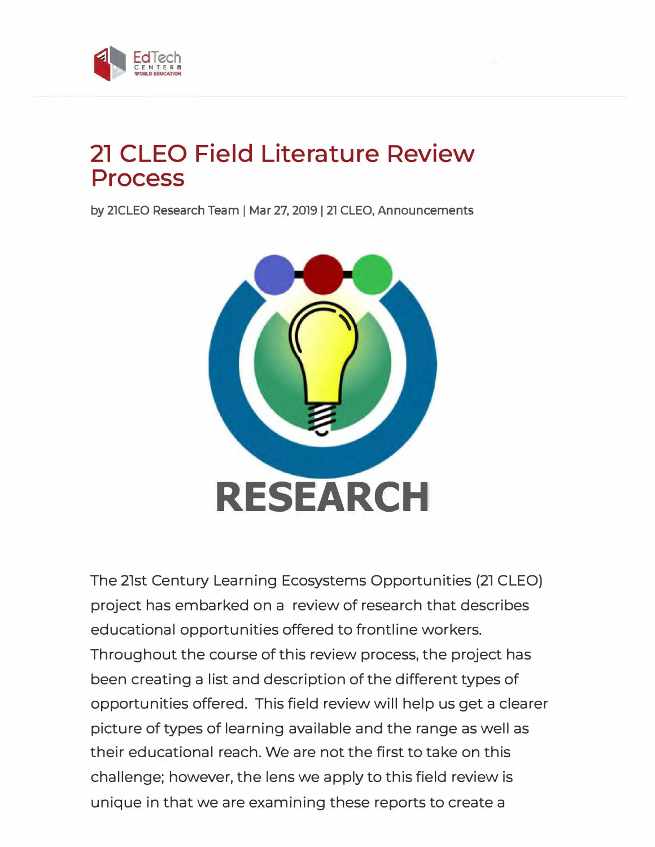



# **21 CLEO Field Literature Review Process**

by 21CLEO Research Team | Mar 27, 2019 | 21 CLEO, Announcements



The 21st Century Learning Ecosystems Opportunities (21 CLEO) project has embarked on a review of research that describes educational opportunities offered to frontline workers. Throughout the course of this review process, the project has been creating a list and description of the different types of opportunities offered. This field review will help us get a clearer picture of types of learning available and the range as well as their educational reach. We are not the first to take on this challenge; however, the lens we apply to this field review is unique in that we are examining these reports to create a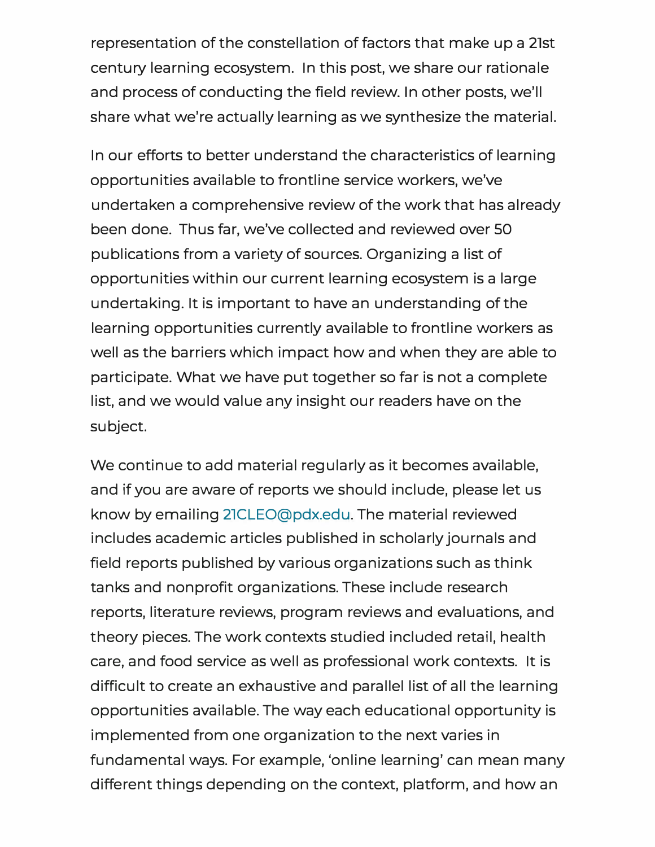representation of the constellation of factors that make up a 21st century learning ecosystem. In this post, we share our rationale and process of conducting the field review. In other posts, we'll share what we're actually learning as we synthesize the material.

In our efforts to better understand the characteristics of learning opportunities available to frontline service workers, we've undertaken a comprehensive review of the work that has already been done. Thus far, we've collected and reviewed over 50 publications from a variety of sources. Organizing a list of opportunities within our current learning ecosystem is a large undertaking. It is important to have an understanding of the learning opportunities currently available to frontline workers as well as the barriers which impact how and when they are able to participate. What we have put together so far is not a complete list, and we would value any insight our readers have on the subject.

We continue to add material regularly as it becomes available, and if you are aware of reports we should include, please let us know by emailing 2lCLEO@pdx.edu. The material reviewed includes academic articles published in scholarly journals and field reports published by various organizations such as think tanks and nonprofit organizations. These include research reports, literature reviews, program reviews and evaluations, and theory pieces. The work contexts studied included retail, health care, and food service as well as professional work contexts. It is difficult to create an exhaustive and parallel list of all the learning opportunities available. The way each educational opportunity is implemented from one organization to the next varies in fundamental ways. For example, 'online learning' can mean many different things depending on the context, platform, and how an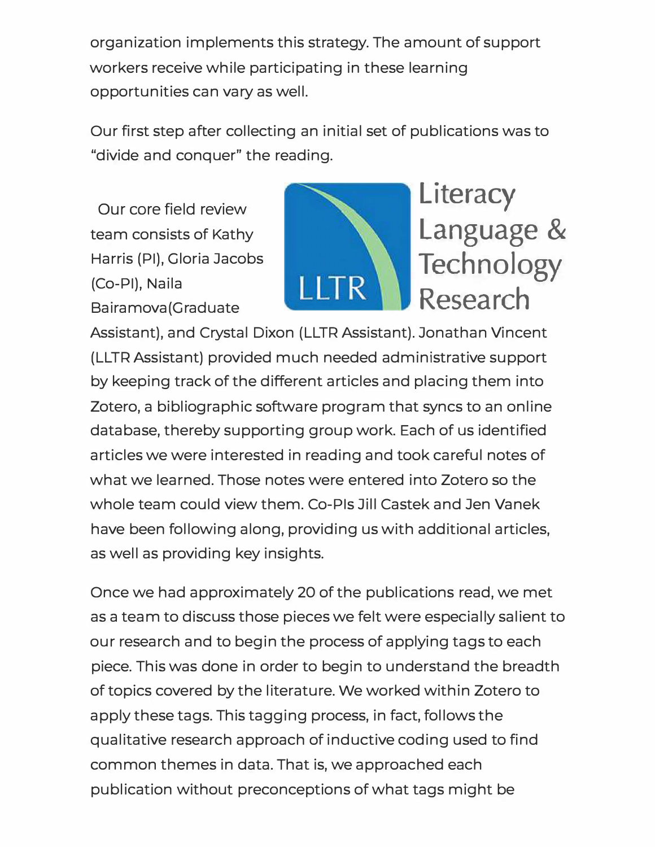organization implements this strategy. The amount of support workers receive while participating in these learning opportunities can vary as well.

Our first step after collecting an initial set of publications was to "divide and conquer" the reading.

Our core field review team consists of Kathy Harris (Pl), Gloria Jacobs (Co-Pl), Naila Ba iramova (Graduate



Assistant), and Crystal Dixon (LLTR Assistant). Jonathan Vincent (LLTR Assistant) provided much needed administrative support by keeping track of the different articles and placing them into Zotero, a bibliographic software program that syncs to an online database, thereby supporting group work. Each of us identified articles we were interested in reading and took careful notes of what we learned. Those notes were entered into Zotero so the whole team could view them. Co-Pis Jill Castek and Jen Vanek have been following along, providing us with additional articles, as well as providing key insights.

Once we had approximately 20 of the publications read, we met as a team to discuss those pieces we felt were especially salient to our research and to begin the process of applying tags to each piece. This was done in order to begin to understand the breadth of topics covered by the literature. We worked within Zotero to apply these tags. This tagging process, in fact, follows the qualitative research approach of inductive coding used to find common themes in data. That is, we approached each publication without preconceptions of what tags might be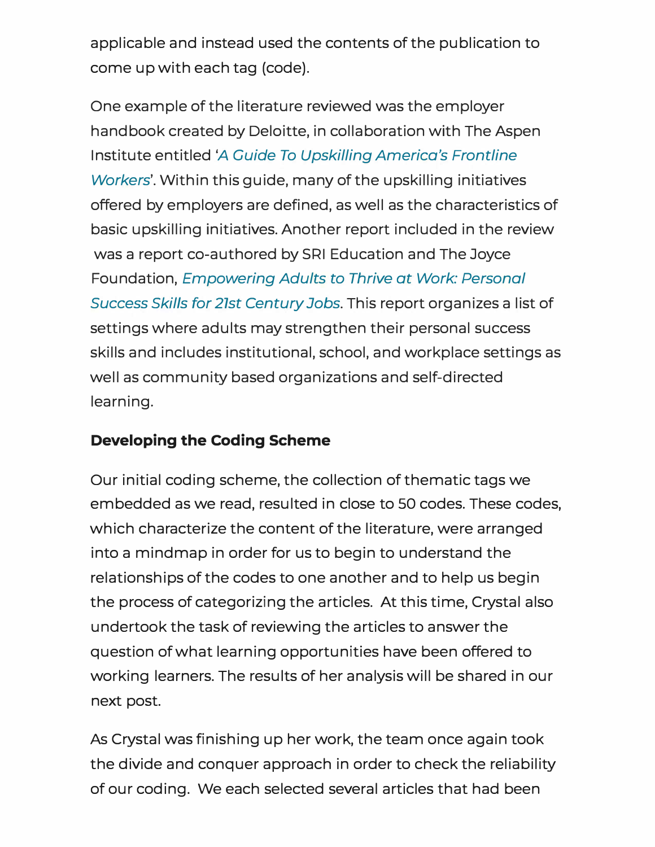applicable and instead used the contents of the publication to come up with each tag (code).

One example of the literature reviewed was the employer handbook created by Deloitte, in collaboration with The Aspen Institute entitled *'A Guide To Upskilling America's Frontline Workers'.* Within this guide, many of the upskilling initiatives offered by employers are defined, as well as the characteristics of basic upskilling initiatives. Another report included in the review was a report co-authored by SRI Education and The Joyce Foundation, *Empowering Adults to Thrive at Work: Personal Success Skills for 21st Century Jobs.* This report organizes a list of settings where adults may strengthen their personal success skills and includes institutional, school, and workplace settings as well as community based organizations and self-directed learning.

### **Developing the Coding Scheme**

Our initial coding scheme, the collection of thematic tags we embedded as we read, resulted in close to 50 codes. These codes, which characterize the content of the literature, were arranged into a mindmap in order for us to begin to understand the relationships of the codes to one another and to help us begin the process of categorizing the articles. At this time, Crystal also undertook the task of reviewing the articles to answer the question of what learning opportunities have been offered to working learners. The results of her analysis will be shared in our next post.

As Crystal was finishing up her work, the team once again took the divide and conquer approach in order to check the reliability of our coding. We each selected several articles that had been